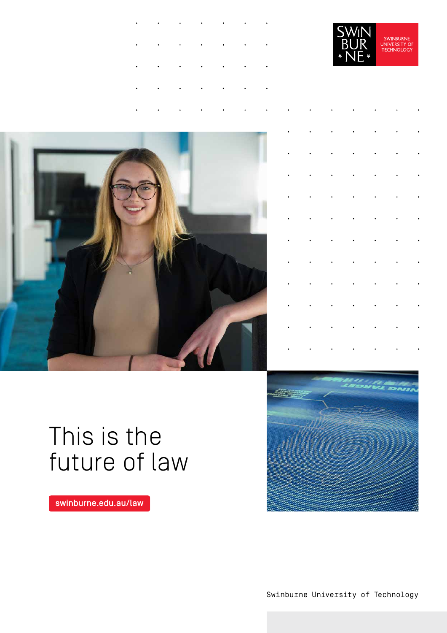





# This is the future of law

[swinburne.edu.au/law](https://swinburne.edu.au/law) 



Swinburne University of Technology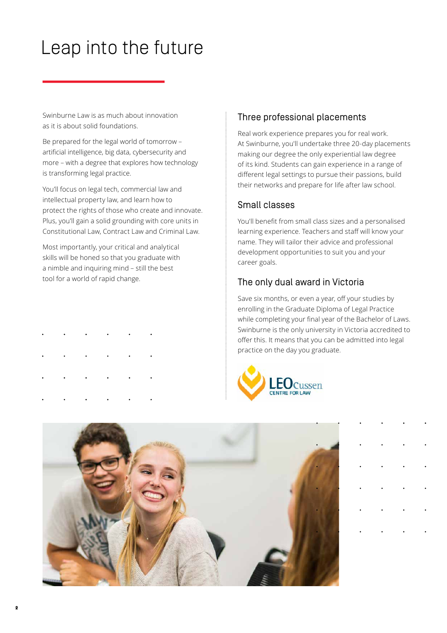# Leap into the future

Swinburne Law is as much about innovation as it is about solid foundations.

Be prepared for the legal world of tomorrow – artificial intelligence, big data, cybersecurity and more – with a degree that explores how technology is transforming legal practice.

You'll focus on legal tech, commercial law and intellectual property law, and learn how to protect the rights of those who create and innovate. Plus, you'll gain a solid grounding with core units in Constitutional Law, Contract Law and Criminal Law.

Most importantly, your critical and analytical skills will be honed so that you graduate with a nimble and inquiring mind – still the best tool for a world of rapid change.

- 
- 
- 

**2**

### Three professional placements

Real work experience prepares you for real work. At Swinburne, you'll undertake three 20-day placements making our degree the only experiential law degree of its kind. Students can gain experience in a range of different legal settings to pursue their passions, build their networks and prepare for life after law school.

### Small classes

You'll benefit from small class sizes and a personalised learning experience. Teachers and staff will know your name. They will tailor their advice and professional development opportunities to suit you and your career goals.

### The only dual award in Victoria

Save six months, or even a year, off your studies by enrolling in the Graduate Diploma of Legal Practice while completing your final year of the Bachelor of Laws. Swinburne is the only university in Victoria accredited to offer this. It means that you can be admitted into legal practice on the day you graduate.



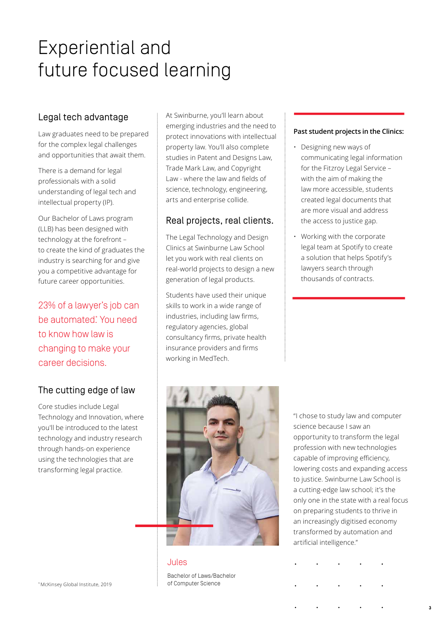# Experiential and future focused learning

### Legal tech advantage

Law graduates need to be prepared for the complex legal challenges and opportunities that await them.

There is a demand for legal professionals with a solid understanding of legal tech and intellectual property (IP).

Our Bachelor of Laws program (LLB) has been designed with technology at the forefront – to create the kind of graduates the industry is searching for and give you a competitive advantage for future career opportunities.

23% of a lawyer's job can be automated<sup>\*</sup> You need to know how law is changing to make your career decisions.

## The cutting edge of law

Core studies include Legal Technology and Innovation, where you'll be introduced to the latest technology and industry research through hands-on experience using the technologies that are transforming legal practice.

At Swinburne, you'll learn about emerging industries and the need to protect innovations with intellectual property law. You'll also complete studies in Patent and Designs Law, Trade Mark Law, and Copyright Law - where the law and fields of science, technology, engineering, arts and enterprise collide.

### Real projects, real clients.

The Legal Technology and Design Clinics at Swinburne Law School let you work with real clients on real-world projects to design a new generation of legal products.

 regulatory agencies, global Students have used their unique skills to work in a wide range of industries, including law firms, consultancy firms, private health insurance providers and firms working in MedTech.

### **Past student projects in the Clinics:**

- Designing new ways of communicating legal information for the Fitzroy Legal Service – with the aim of making the law more accessible, students created legal documents that are more visual and address the access to justice gap.
- Working with the corporate legal team at Spotify to create a solution that helps Spotify's lawyers search through thousands of contracts.



### Jules

Bachelor of Laws/Bachelor of Computer Science

"I chose to study law and computer science because I saw an opportunity to transform the legal profession with new technologies capable of improving efficiency, lowering costs and expanding access to justice. Swinburne Law School is a cutting-edge law school; it's the only one in the state with a real focus on preparing students to thrive in an increasingly digitised economy transformed by automation and artificial intelligence."

\* McKinsey Global Institute, 2019

**3**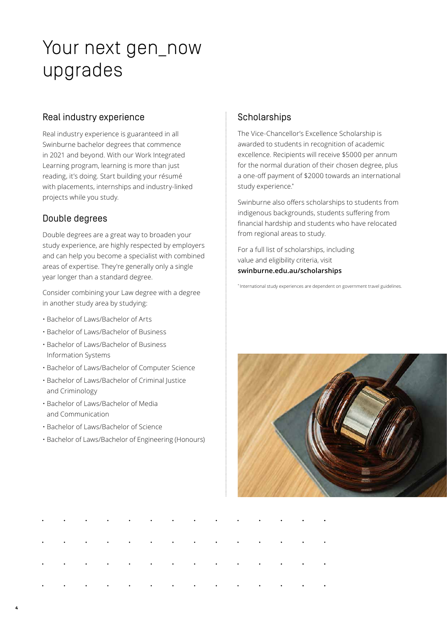# Your next gen\_now upgrades

### Real industry experience

Real industry experience is guaranteed in all Swinburne bachelor degrees that commence in 2021 and beyond. With our Work Integrated Learning program, learning is more than just reading, it's doing. Start building your résumé with placements, internships and industry-linked projects while you study.

### Double degrees

Double degrees are a great way to broaden your study experience, are highly respected by employers and can help you become a specialist with combined areas of expertise. They're generally only a single year longer than a standard degree.

Consider combining your Law degree with a degree in another study area by studying:

- • [Bachelor of Laws/Bachelor of Arts](https://www.swinburne.edu.au/study/course/bachelor-of-laws-bachelor-of-arts-2022/?siid=tl%7Cbau%7Cvar%7Cna%7C0758)
- Bachelor of Laws/Bachelor of Business
- • [Bachelor of Laws/Bachelor of Business](https://www.swinburne.edu.au/study/course/bachelor-of-laws-bachelor-of-business-information-systems/?siid=tl%7Cbau%7Cvar%7Cna%7C0760)  Information Systems
- • [Bachelor of Laws/Bachelor of Computer Science](https://www.swinburne.edu.au/study/course/bachelor-of-laws-bachelor-of-computer-science/?siid=tl%7Cbau%7Cvar%7Cna%7C0761)
- • [Bachelor of Laws/Bachelor of Criminal Justice](https://www.swinburne.edu.au/study/course/Bachelor-of-Laws-Bachelor-of-Criminal-Justice-and-Criminology/?siid=tl%7Cbau%7Cvar%7Cna%7C0762)  and Criminology
- • [Bachelor of Laws/Bachelor of Media](https://www.swinburne.edu.au/study/course/bachelor-of-laws-bachelor-of-media-and-communication/?siid=tl%7Cbau%7Cvar%7Cna%7C0763) and Communication
- Bachelor of Laws/Bachelor of Science

**4**

• Bachelor of [Laws/Bachelor](https://www.swinburne.edu.au/study/course/bachelor-of-laws-bachelor-of-engineering-honours/?siid=tl%7Cbau%7Cvar%7Cna%7C0765) of Engineering (Honours)

### **Scholarships**

The Vice-Chancellor's Excellence Scholarship is awarded to students in recognition of academic excellence. Recipients will receive \$5000 per annum for the normal duration of their chosen degree, plus a one-off payment of \$2000 towards an international study experience. \*

Swinburne also offers scholarships to students from indigenous backgrounds, students suffering from financial hardship and students who have relocated from regional areas to study.

For a full list of scholarships, including value and eligibility criteria, visit **[swinburne.edu.au/scholarships](https://swinburne.edu.au/scholarships)** 

\* International study experiences are dependent on government travel guidelines.

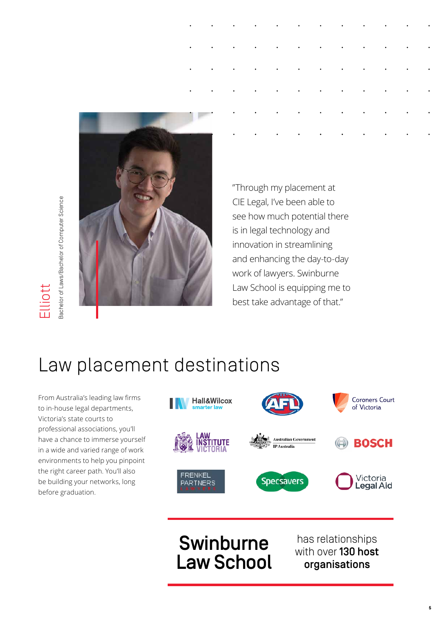

aachelor of Laws/Bachelor of Computer Science Bachelor of Laws/Bachelor of Computer Science Elliott

 "Through my placement at CIE Legal, I've been able to see how much potential there is in legal technology and innovation in streamlining and enhancing the day-to-day work of lawyers. Swinburne Law School is equipping me to best take advantage of that."

# Law placement destinations

 professional associations, you'll From Australia's leading law firms to in-house legal departments, Victoria's state courts to have a chance to immerse yourself in a wide and varied range of work environments to help you pinpoint the right career path. You'll also be building your networks, long before graduation.



# **Swinburne** has relationships<br> **Law School** organisations

has relationships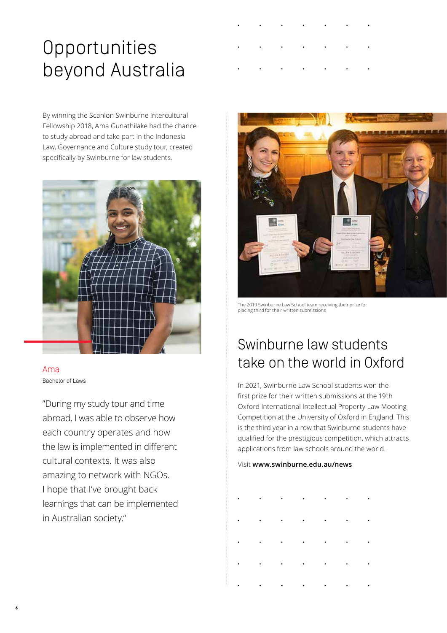# Opportunities beyond Australia

By winning the Scanlon Swinburne Intercultural Fellowship 2018, Ama Gunathilake had the chance to study abroad and take part in the Indonesia Law, Governance and Culture study tour, created specifically by Swinburne for law students.



### Ama Bachelor of Laws

"During my study tour and time abroad, I was able to observe how each country operates and how the law is implemented in different cultural contexts. It was also amazing to network with NGOs. I hope that I've brought back learnings that can be implemented in Australian society."



The 2019 Swinburne Law School team receiving their prize for placing third for their written submissions

# Swinburne law students take on the world in Oxford

In 2021, Swinburne Law School students won the first prize for their written submissions at the 19th Oxford International Intellectual Property Law Mooting Competition at the University of Oxford in England. This is the third year in a row that Swinburne students have qualified for the prestigious competition, which attracts applications from law schools around the world.

Visit **<www.swinburne.edu.au/news>** 

|  |  | $\mathbf{r}^{\prime}$ , and $\mathbf{r}^{\prime}$ , and $\mathbf{r}^{\prime}$ , and $\mathbf{r}^{\prime}$ , and $\mathbf{r}^{\prime}$ , and $\mathbf{r}^{\prime}$                                                                                                    |  |
|--|--|----------------------------------------------------------------------------------------------------------------------------------------------------------------------------------------------------------------------------------------------------------------------|--|
|  |  | $\mathbf{r}^{\prime}$ , and $\mathbf{r}^{\prime}$ , and $\mathbf{r}^{\prime}$ , and $\mathbf{r}^{\prime}$ , and $\mathbf{r}^{\prime}$ , and $\mathbf{r}^{\prime}$                                                                                                    |  |
|  |  | $\mathbf{r}^{\prime}$ , and $\mathbf{r}^{\prime}$ , and $\mathbf{r}^{\prime}$ , and $\mathbf{r}^{\prime}$ , and $\mathbf{r}^{\prime}$ , and                                                                                                                          |  |
|  |  | $\label{eq:2.1} \mathcal{L}_{\mathcal{A}}(\mathcal{A}) = \mathcal{L}_{\mathcal{A}}(\mathcal{A}) = \mathcal{L}_{\mathcal{A}}(\mathcal{A}) = \mathcal{L}_{\mathcal{A}}(\mathcal{A}) = \mathcal{L}_{\mathcal{A}}(\mathcal{A}) = \mathcal{L}_{\mathcal{A}}(\mathcal{A})$ |  |
|  |  |                                                                                                                                                                                                                                                                      |  |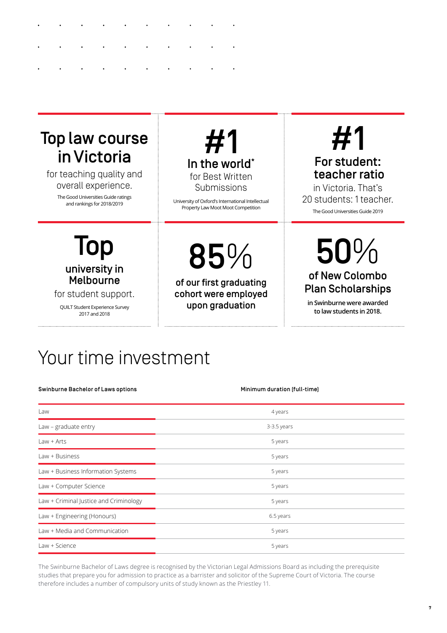# Top law course in Victoria

for teaching quality and overall experience.

> The Good Universities Guide ratings and rankings for 2018/2019



University of Oxford's International Intellectual Property Law Moot Moot Competition

# #1

## For student: teacher ratio

in Victoria. That's 20 students: 1 teacher. The Good Universities Guide 2019

# Top university in Melbourne

for student support.

QUILT Student Experience Survey 2017 and 2018

85%

of our first graduating cohort were employed upon graduation

# 50% of New Colombo Plan Scholarships

**in Swinburne were awarded to law students in 2018.** 

# Your time investment

Swinburne Bachelor of Laws options Minimum duration (full-time)

| Law                                    | 4 years     |  |  |  |  |  |  |  |
|----------------------------------------|-------------|--|--|--|--|--|--|--|
| Law - graduate entry                   | 3-3.5 years |  |  |  |  |  |  |  |
| $Law + Arts$                           | 5 years     |  |  |  |  |  |  |  |
| Law + Business                         | 5 years     |  |  |  |  |  |  |  |
| Law + Business Information Systems     | 5 years     |  |  |  |  |  |  |  |
| Law + Computer Science                 | 5 years     |  |  |  |  |  |  |  |
| Law + Criminal Justice and Criminology | 5 years     |  |  |  |  |  |  |  |
| Law + Engineering (Honours)            | 6.5 years   |  |  |  |  |  |  |  |
| Law + Media and Communication          | 5 years     |  |  |  |  |  |  |  |
| Law + Science                          | 5 years     |  |  |  |  |  |  |  |

The Swinburne Bachelor of Laws degree is recognised by the Victorian Legal Admissions Board as including the prerequisite studies that prepare you for admission to practice as a barrister and solicitor of the Supreme Court of Victoria. The course therefore includes a number of compulsory units of study known as the Priestley 11.